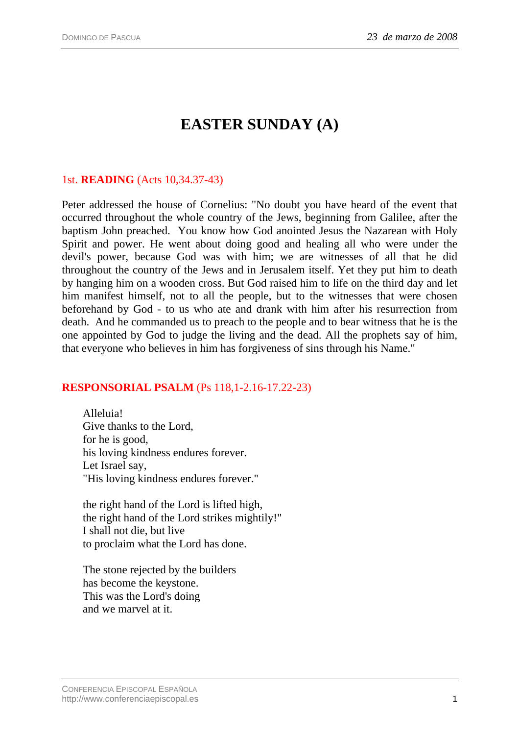# **EASTER SUNDAY (A)**

## 1st. **READING** (Acts 10,34.37-43)

Peter addressed the house of Cornelius: "No doubt you have heard of the event that occurred throughout the whole country of the Jews, beginning from Galilee, after the baptism John preached. You know how God anointed Jesus the Nazarean with Holy Spirit and power. He went about doing good and healing all who were under the devil's power, because God was with him; we are witnesses of all that he did throughout the country of the Jews and in Jerusalem itself. Yet they put him to death by hanging him on a wooden cross. But God raised him to life on the third day and let him manifest himself, not to all the people, but to the witnesses that were chosen beforehand by God - to us who ate and drank with him after his resurrection from death. And he commanded us to preach to the people and to bear witness that he is the one appointed by God to judge the living and the dead. All the prophets say of him, that everyone who believes in him has forgiveness of sins through his Name."

### **RESPONSORIAL PSALM** (Ps 118,1-2.16-17.22-23)

Alleluia! Give thanks to the Lord, for he is good, his loving kindness endures forever. Let Israel say, "His loving kindness endures forever."

the right hand of the Lord is lifted high, the right hand of the Lord strikes mightily!" I shall not die, but live to proclaim what the Lord has done.

The stone rejected by the builders has become the keystone. This was the Lord's doing and we marvel at it.